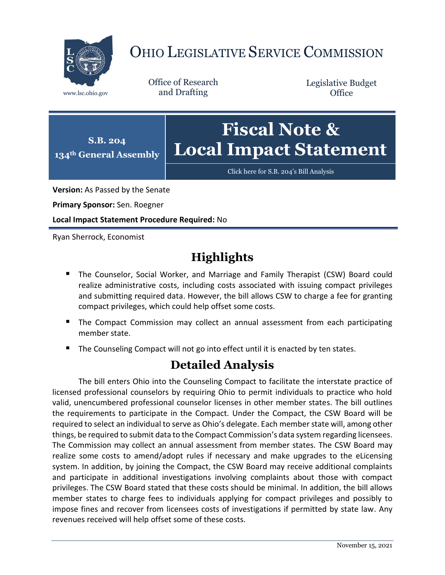

## OHIO LEGISLATIVE SERVICE COMMISSION

Office of Research www.lsc.ohio.gov and Drafting

Legislative Budget **Office** 



[Click here for S.B. 204](https://www.legislature.ohio.gov/legislation/legislation-documents?id=GA134-SB-204)'s Bill Analysis

**Version:** As Passed by the Senate

**Primary Sponsor:** Sen. Roegner

**Local Impact Statement Procedure Required:** No

Ryan Sherrock, Economist

## **Highlights**

- **The Counselor, Social Worker, and Marriage and Family Therapist (CSW) Board could** realize administrative costs, including costs associated with issuing compact privileges and submitting required data. However, the bill allows CSW to charge a fee for granting compact privileges, which could help offset some costs.
- **The Compact Commission may collect an annual assessment from each participating** member state.
- The Counseling Compact will not go into effect until it is enacted by ten states.

## **Detailed Analysis**

The bill enters Ohio into the Counseling Compact to facilitate the interstate practice of licensed professional counselors by requiring Ohio to permit individuals to practice who hold valid, unencumbered professional counselor licenses in other member states. The bill outlines the requirements to participate in the Compact. Under the Compact, the CSW Board will be required to select an individual to serve as Ohio's delegate. Each member state will, among other things, be required to submit data to the Compact Commission's data system regarding licensees. The Commission may collect an annual assessment from member states. The CSW Board may realize some costs to amend/adopt rules if necessary and make upgrades to the eLicensing system. In addition, by joining the Compact, the CSW Board may receive additional complaints and participate in additional investigations involving complaints about those with compact privileges. The CSW Board stated that these costs should be minimal. In addition, the bill allows member states to charge fees to individuals applying for compact privileges and possibly to impose fines and recover from licensees costs of investigations if permitted by state law. Any revenues received will help offset some of these costs.